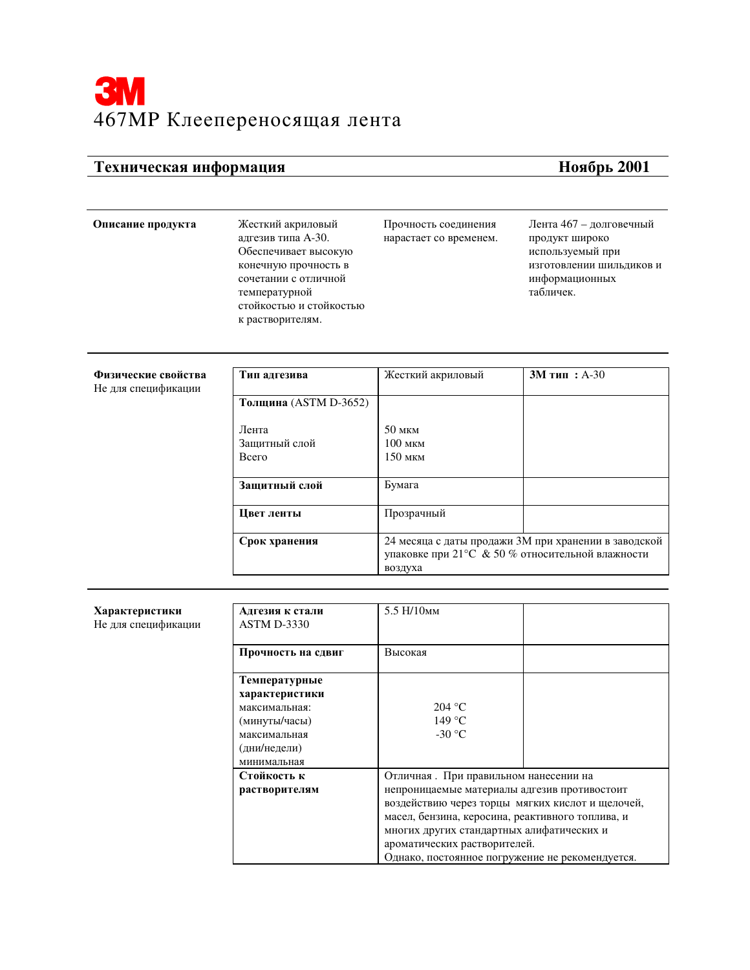## Техническая информация

## Ноябрь 2001

## Описание продукта

Жесткий акриловый адгезив типа А-30. Обеспечивает высокую конечную прочность в сочетании с отличной температурной стойкостью и стойкостью к растворителям.

Прочность соединения нарастает со временем. Лента 467 - долговечный продукт широко используемый при изготовлении шильдиков и информационных табличек.

| Физические свойства<br>Не для спецификации | Тип адгезива                 | Жесткий акриловый                                                                                                   | $3M$ тип: А-30 |
|--------------------------------------------|------------------------------|---------------------------------------------------------------------------------------------------------------------|----------------|
|                                            | <b>Толщина</b> (ASTM D-3652) |                                                                                                                     |                |
|                                            | Лента                        | $50$ MKM                                                                                                            |                |
|                                            | Защитный слой                | $100$ MKM                                                                                                           |                |
|                                            | <b>B</b> cero                | $150$ мкм                                                                                                           |                |
|                                            | Защитный слой                | Бумага                                                                                                              |                |
|                                            | Цвет ленты                   | Прозрачный                                                                                                          |                |
|                                            | Срок хранения                | 24 месяца с даты продажи ЗМ при хранении в заводской<br>упаковке при 21°С & 50 % относительной влажности<br>воздуха |                |

| Характеристики<br>Не для спецификации | Адгезия к стали<br><b>ASTM D-3330</b> | 5.5 H/10 <sub>MM</sub>                                                                        |                                                  |  |
|---------------------------------------|---------------------------------------|-----------------------------------------------------------------------------------------------|--------------------------------------------------|--|
|                                       | Прочность на сдвиг                    | Высокая                                                                                       |                                                  |  |
|                                       | Температурные                         |                                                                                               |                                                  |  |
|                                       | характеристики<br>максимальная:       | 204 °C                                                                                        |                                                  |  |
|                                       |                                       | 149 °C                                                                                        |                                                  |  |
|                                       | (минуты/часы)                         |                                                                                               |                                                  |  |
|                                       | максимальная                          | $-30$ °C                                                                                      |                                                  |  |
|                                       | (дни/недели)                          |                                                                                               |                                                  |  |
|                                       | минимальная                           |                                                                                               |                                                  |  |
|                                       | Стойкость к                           | Отличная. При правильном нанесении на                                                         |                                                  |  |
|                                       | растворителям                         | непроницаемые материалы адгезив противостоит                                                  |                                                  |  |
|                                       |                                       |                                                                                               | воздействию через торцы мягких кислот и щелочей, |  |
|                                       |                                       | масел, бензина, керосина, реактивного топлива, и<br>многих других стандартных алифатических и |                                                  |  |
|                                       |                                       |                                                                                               |                                                  |  |
|                                       |                                       | ароматических растворителей.                                                                  |                                                  |  |
|                                       |                                       | Однако, постоянное погружение не рекомендуется.                                               |                                                  |  |